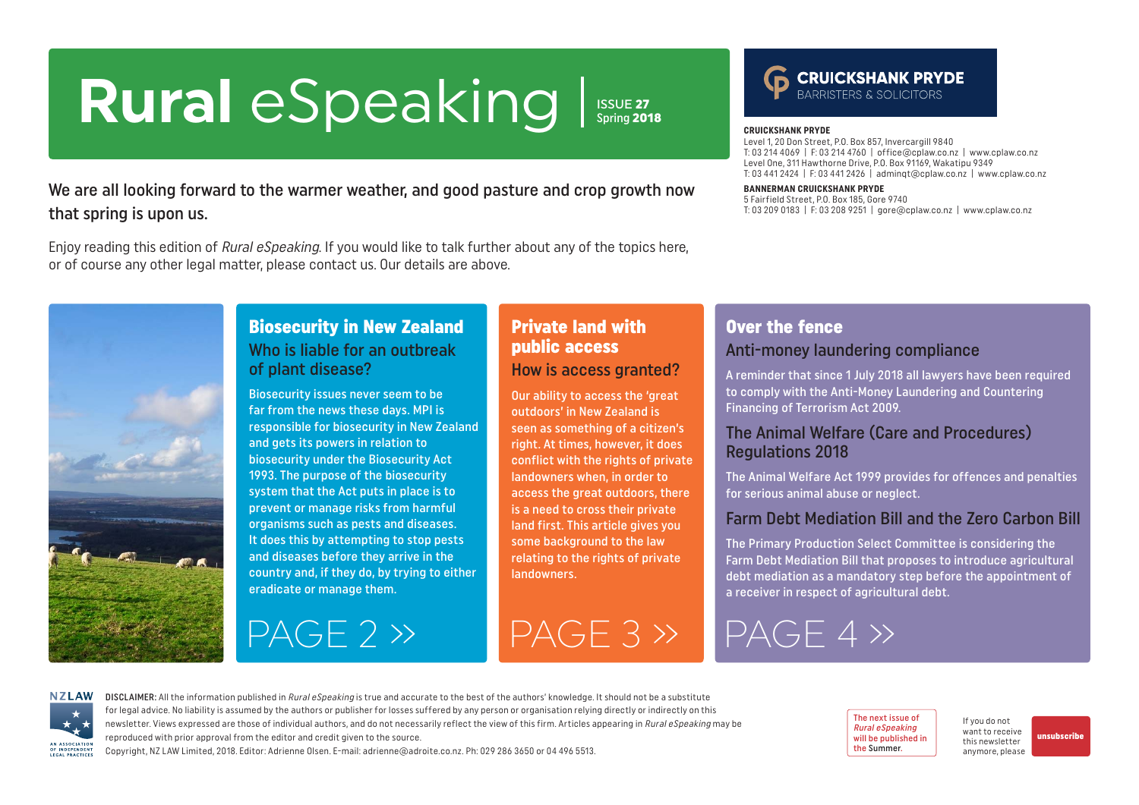## <span id="page-0-0"></span>**Rural** eSpeaking Issue 27 Spring 2018

We are all looking forward to the warmer weather, and good pasture and crop growth now that spring is upon us.

Enjoy reading this edition of Rural eSpeaking. If you would like to talk further about any of the topics here, or of course any other legal matter, please contact us. Our details are above.





#### **CRUICKSHANK PRYDE**

Level 1, 20 Don Street, P.O. Box 857, Invercargill 9840 T: 03 214 4069 | F: 03 214 4760 | office@cplaw.co.nz | www.cplaw.co.nz Level One, 311 Hawthorne Drive, P.O. Box 91169, Wakatipu 9349 T: 03 441 2424 | F: 03 441 2426 | adminqt@cplaw.co.nz | www.cplaw.co.nz

#### **BANNERMAN CRUICKSHANK PRYDE**

5 Fairfield Street, P.O. Box 185, Gore 9740 T: 03 209 0183 | F: 03 208 9251 | gore@cplaw.co.nz | www.cplaw.co.nz



### Biosecurity in New Zealand Who is liable for an outbreak of plant disease?

Biosecurity issues never seem to be far from the news these days. MPI is responsible for biosecurity in New Zealand and gets its powers in relation to biosecurity under the Biosecurity Act 1993. The purpose of the biosecurity system that the Act puts in place is to prevent or manage risks from harmful organisms such as pests and diseases. It does this by attempting to stop pests and diseases before they arrive in the country and, if they do, by trying to either eradicate or manage them.

 $PAGF 2 \gg$  PAGF 3  $\gg$ 

#### Private land with public access How is access granted?

Our ability to access the 'great outdoors' in New Zealand is seen as something of a citizen's right. At times, however, it does conflict with the rights of private landowners when, in order to access the great outdoors, there is a need to cross their private land first. This article gives you some background to the law relating to the rights of private landowners.

#### Over the fence Anti-money laundering compliance

A reminder that since 1 July 2018 all lawyers have been required to comply with the Anti-Money Laundering and Countering Financing of Terrorism Act 2009.

#### The Animal Welfare (Care and Procedures) Regulations 2018

The Animal Welfare Act 1999 provides for offences and penalties for serious animal abuse or neglect.

#### Farm Debt Mediation Bill and the Zero Carbon Bill

The Primary Production Select Committee is considering the Farm Debt Mediation Bill that proposes to introduce agricultural debt mediation as a mandatory step before the appointment of a receiver in respect of agricultural debt.

# [PAGE 4 »](#page-3-0)

**NZLAW** AN ASSOCIATION OF INDEPENDENT LEGAL PRACTICE

DISCLAIMER: All the information published in Rural eSpeaking is true and accurate to the best of the authors' knowledge. It should not be a substitute for legal advice. No liability is assumed by the authors or publisher for losses suffered by any person or organisation relying directly or indirectly on this newsletter. Views expressed are those of individual authors, and do not necessarily reflect the view of this firm. Articles appearing in Rural eSpeaking may be reproduced with prior approval from the editor and credit given to the source.

Copyright, NZ LAW Limited, 2018. Editor: Adrienne Olsen. [E-mail: adrienne@adroite.co.nz](mailto:adrienne@adroite.co.nz). Ph: 029 286 3650 or 04 496 5513.

The next issue of Rural eSpeaking will be published in the Summer.

If you do not want to receive this newsletter anymore, please

[unsubscribe](mailto:adrienne%40adroite.co.nz?subject=Please%20unsubscribe%20me%20from%20Rural%20eSpeaking)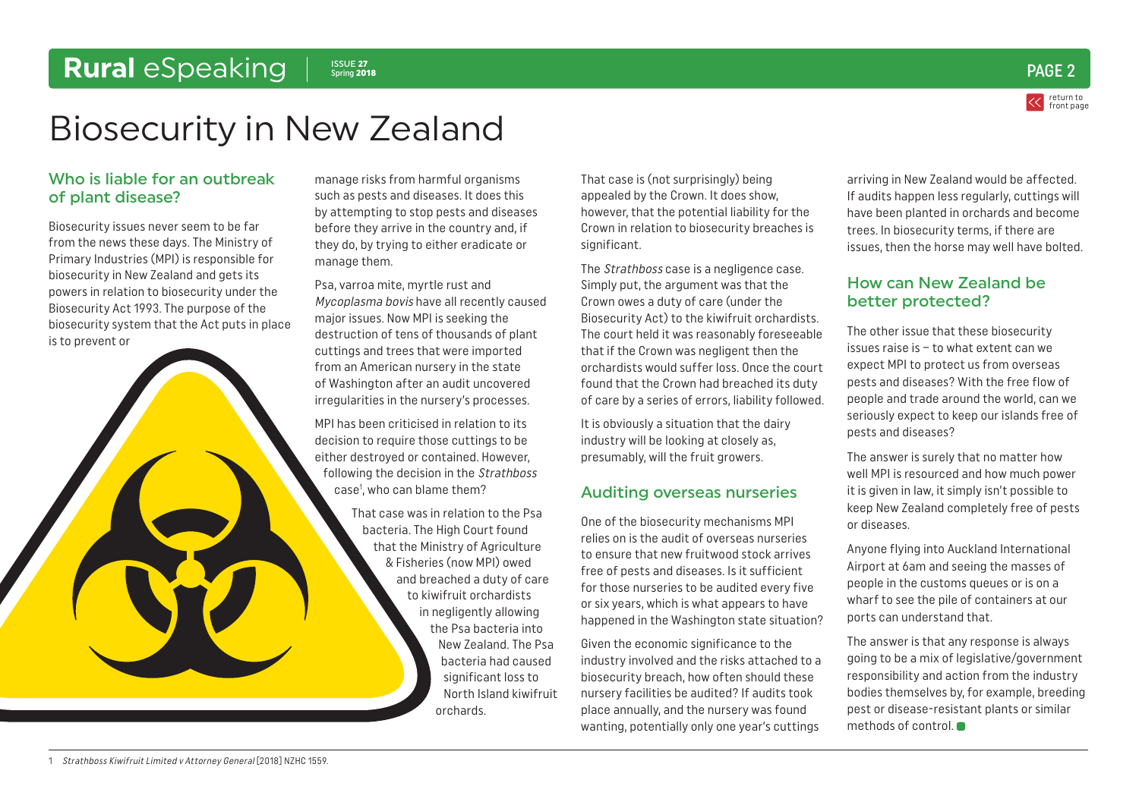### <span id="page-1-0"></span>Rural *eSpeaking* | Spring 2018



# Biosecurity in New Zealand

#### Who is liable for an outbreak of plant disease?

Biosecurity issues never seem to be far from the news these days. The Ministry of Primary Industries (MPI) is responsible for biosecurity in New Zealand and gets its powers in relation to biosecurity under the Biosecurity Act 1993. The purpose of the biosecurity system that the Act puts in place is to prevent or

manage risks from harmful organisms such as pests and diseases. It does this by attempting to stop pests and diseases before they arrive in the country and, if they do, by trying to either eradicate or manage them.

Psa, varroa mite, myrtle rust and Mycoplasma bovis have all recently caused major issues. Now MPI is seeking the destruction of tens of thousands of plant cuttings and trees that were imported from an American nursery in the state of Washington after an audit uncovered irregularities in the nursery's processes.

MPI has been criticised in relation to its decision to require those cuttings to be either destroyed or contained. However, following the decision in the Strathboss case1 , who can blame them?

> That case was in relation to the Psa bacteria. The High Court found that the Ministry of Agriculture & Fisheries (now MPI) owed and breached a duty of care to kiwifruit orchardists in negligently allowing the Psa bacteria into New Zealand. The Psa bacteria had caused significant loss to North Island kiwifruit orchards.

That case is (not surprisingly) being appealed by the Crown. It does show, however, that the potential liability for the Crown in relation to biosecurity breaches is significant.

The *Strathboss* case is a negligence case. Simply put, the argument was that the Crown owes a duty of care (under the Biosecurity Act) to the kiwifruit orchardists. The court held it was reasonably foreseeable that if the Crown was negligent then the orchardists would suffer loss. Once the court found that the Crown had breached its duty of care by a series of errors, liability followed.

It is obviously a situation that the dairy industry will be looking at closely as, presumably, will the fruit growers.

#### Auditing overseas nurseries

One of the biosecurity mechanisms MPI relies on is the audit of overseas nurseries to ensure that new fruitwood stock arrives free of pests and diseases. Is it sufficient for those nurseries to be audited every five or six years, which is what appears to have happened in the Washington state situation?

Given the economic significance to the industry involved and the risks attached to a biosecurity breach, how often should these nursery facilities be audited? If audits took place annually, and the nursery was found wanting, potentially only one year's cuttings

arriving in New Zealand would be affected. If audits happen less regularly, cuttings will have been planted in orchards and become trees. In biosecurity terms, if there are issues, then the horse may well have bolted.

#### How can New Zealand be better protected?

The other issue that these biosecurity issues raise is – to what extent can we expect MPI to protect us from overseas pests and diseases? With the free flow of people and trade around the world, can we seriously expect to keep our islands free of pests and diseases?

The answer is surely that no matter how well MPI is resourced and how much power it is given in law, it simply isn't possible to keep New Zealand completely free of pests or diseases.

Anyone flying into Auckland International Airport at 6am and seeing the masses of people in the customs queues or is on a wharf to see the pile of containers at our ports can understand that.

The answer is that any response is always going to be a mix of legislative/government responsibility and action from the industry bodies themselves by, for example, breeding pest or disease-resistant plants or similar methods of control.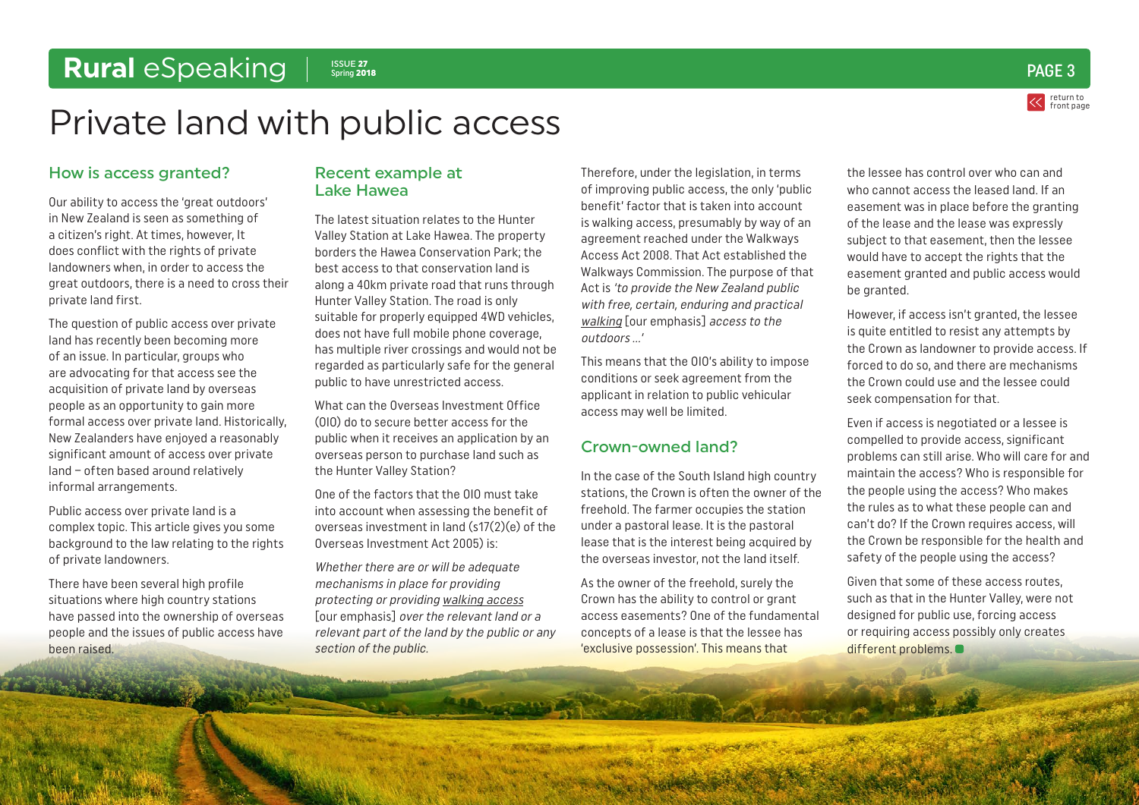### return to [front page](#page-0-0)  $S_{\text{spring 2018}}$  and  $\text{PAGE 3}$

# <span id="page-2-0"></span>Private land with public access

#### How is access granted?

Our ability to access the 'great outdoors' in New Zealand is seen as something of a citizen's right. At times, however, It does conflict with the rights of private landowners when, in order to access the great outdoors, there is a need to cross their private land first.

The question of public access over private land has recently been becoming more of an issue. In particular, groups who are advocating for that access see the acquisition of private land by overseas people as an opportunity to gain more formal access over private land. Historically, New Zealanders have enjoyed a reasonably significant amount of access over private land – often based around relatively informal arrangements.

Public access over private land is a complex topic. This article gives you some background to the law relating to the rights of private landowners.

There have been several high profile situations where high country stations have passed into the ownership of overseas people and the issues of public access have been raised.

#### Recent example at Lake Hawea

The latest situation relates to the Hunter Valley Station at Lake Hawea. The property borders the Hawea Conservation Park; the best access to that conservation land is along a 40km private road that runs through Hunter Valley Station. The road is only suitable for properly equipped 4WD vehicles, does not have full mobile phone coverage, has multiple river crossings and would not be regarded as particularly safe for the general public to have unrestricted access.

What can the Overseas Investment Office (OIO) do to secure better access for the public when it receives an application by an overseas person to purchase land such as the Hunter Valley Station?

One of the factors that the OIO must take into account when assessing the benefit of overseas investment in land (s17(2)(e) of the Overseas Investment Act 2005) is:

Whether there are or will be adequate mechanisms in place for providing protecting or providing walking access [our emphasis] over the relevant land or a relevant part of the land by the public or any section of the public.

Therefore, under the legislation, in terms of improving public access, the only 'public benefit' factor that is taken into account is walking access, presumably by way of an agreement reached under the Walkways Access Act 2008. That Act established the Walkways Commission. The purpose of that Act is 'to provide the New Zealand public with free, certain, enduring and practical walking [our emphasis] access to the outdoors ...'

This means that the OIO's ability to impose conditions or seek agreement from the applicant in relation to public vehicular access may well be limited.

#### Crown-owned land?

In the case of the South Island high country stations, the Crown is often the owner of the freehold. The farmer occupies the station under a pastoral lease. It is the pastoral lease that is the interest being acquired by the overseas investor, not the land itself.

As the owner of the freehold, surely the Crown has the ability to control or grant access easements? One of the fundamental concepts of a lease is that the lessee has 'exclusive possession'. This means that

the lessee has control over who can and who cannot access the leased land. If an easement was in place before the granting of the lease and the lease was expressly subject to that easement, then the lessee would have to accept the rights that the easement granted and public access would be granted.

However, if access isn't granted, the lessee is quite entitled to resist any attempts by the Crown as landowner to provide access. If forced to do so, and there are mechanisms the Crown could use and the lessee could seek compensation for that.

Even if access is negotiated or a lessee is compelled to provide access, significant problems can still arise. Who will care for and maintain the access? Who is responsible for the people using the access? Who makes the rules as to what these people can and can't do? If the Crown requires access, will the Crown be responsible for the health and safety of the people using the access?

Given that some of these access routes, such as that in the Hunter Valley, were not designed for public use, forcing access or requiring access possibly only creates different problems.  $\bullet$